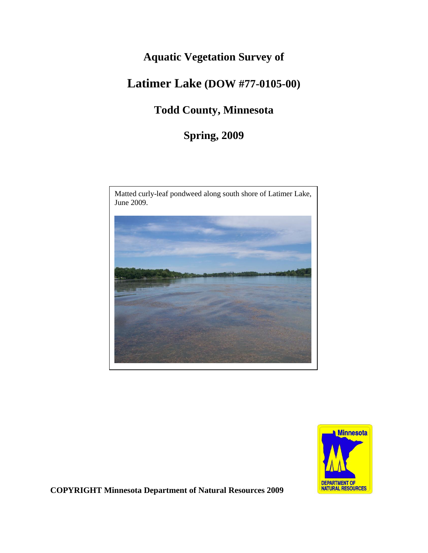## **Aquatic Vegetation Survey of**

# **Latimer Lake (DOW #77-0105-00)**

## **Todd County, Minnesota**

**Spring, 2009**





**COPYRIGHT Minnesota Department of Natural Resources 2009**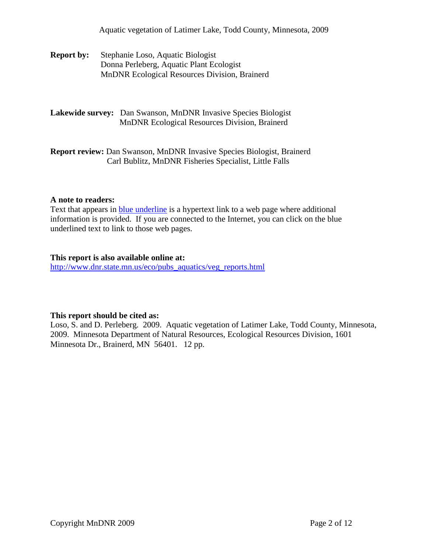Aquatic vegetation of Latimer Lake, Todd County, Minnesota, 2009

**Report by:** Stephanie Loso, Aquatic Biologist Donna Perleberg, Aquatic Plant Ecologist MnDNR Ecological Resources Division, Brainerd

**Lakewide survey:** Dan Swanson, MnDNR Invasive Species Biologist MnDNR Ecological Resources Division, Brainerd

**Report review:** Dan Swanson, MnDNR Invasive Species Biologist, Brainerd Carl Bublitz, MnDNR Fisheries Specialist, Little Falls

#### **A note to readers:**

Text that appears in **blue underline** is a hypertext link to a web page where additional information is provided. If you are connected to the Internet, you can click on the blue underlined text to link to those web pages.

#### **This report is also available online at:**

[http://www.dnr.state.mn.us/eco/pubs\\_aquatics/veg\\_reports.html](http://www.dnr.state.mn.us/eco/pubs_aquatics/veg_reports.html)

#### **This report should be cited as:**

Loso, S. and D. Perleberg. 2009. Aquatic vegetation of Latimer Lake, Todd County, Minnesota, 2009. Minnesota Department of Natural Resources, Ecological Resources Division, 1601 Minnesota Dr., Brainerd, MN 56401. 12 pp.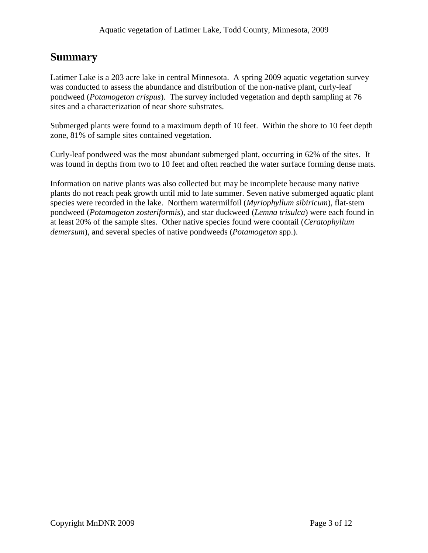### **Summary**

Latimer Lake is a 203 acre lake in central Minnesota. A spring 2009 aquatic vegetation survey was conducted to assess the abundance and distribution of the non-native plant, curly-leaf pondweed (*Potamogeton crispus*). The survey included vegetation and depth sampling at 76 sites and a characterization of near shore substrates.

Submerged plants were found to a maximum depth of 10 feet. Within the shore to 10 feet depth zone, 81% of sample sites contained vegetation.

Curly-leaf pondweed was the most abundant submerged plant, occurring in 62% of the sites. It was found in depths from two to 10 feet and often reached the water surface forming dense mats.

Information on native plants was also collected but may be incomplete because many native plants do not reach peak growth until mid to late summer. Seven native submerged aquatic plant species were recorded in the lake. Northern watermilfoil (*Myriophyllum sibiricum*), flat-stem pondweed (*Potamogeton zosteriformis*), and star duckweed (*Lemna trisulca*) were each found in at least 20% of the sample sites. Other native species found were coontail (*Ceratophyllum demersum*), and several species of native pondweeds (*Potamogeton* spp.).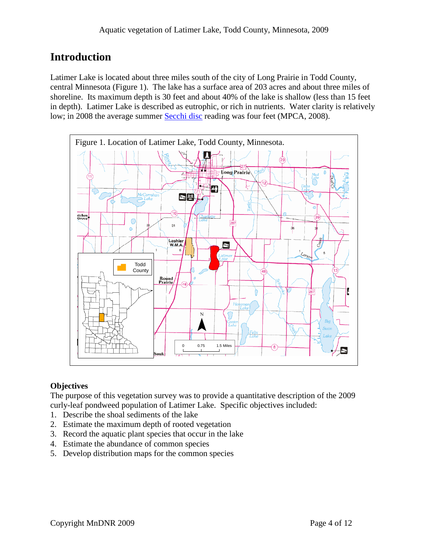### **Introduction**

Latimer Lake is located about three miles south of the city of Long Prairie in Todd County, central Minnesota (Figure 1). The lake has a surface area of 203 acres and about three miles of shoreline. Its maximum depth is 30 feet and about 40% of the lake is shallow (less than 15 feet in depth). Latimer Lake is described as eutrophic, or rich in nutrients. Water clarity is relatively low; in 2008 the average summer [Secchi disc](http://www.pca.state.mn.us/water/secchi-slideshow.html) reading was four feet (MPCA, 2008).



### **Objectives**

The purpose of this vegetation survey was to provide a quantitative description of the 2009 curly-leaf pondweed population of Latimer Lake. Specific objectives included:

- 1. Describe the shoal sediments of the lake
- 2. Estimate the maximum depth of rooted vegetation
- 3. Record the aquatic plant species that occur in the lake
- 4. Estimate the abundance of common species
- 5. Develop distribution maps for the common species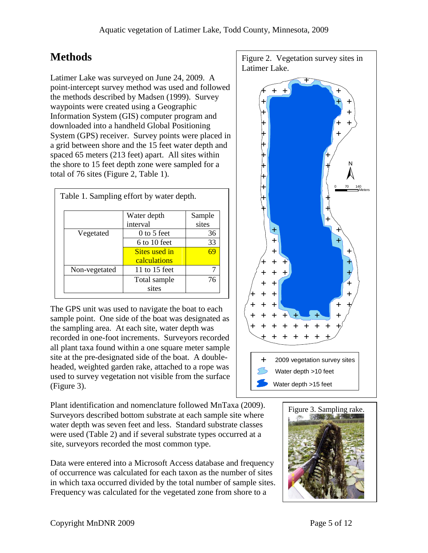## **Methods**

Latimer Lake was surveyed on June 24, 2009. A point-intercept survey method was used and followed the methods described by Madsen (1999). Survey waypoints were created using a Geographic Information System (GIS) computer program and downloaded into a handheld Global Positioning System (GPS) receiver. Survey points were placed in a grid between shore and the 15 feet water depth and spaced 65 meters (213 feet) apart. All sites within the shore to 15 feet depth zone were sampled for a total of 76 sites (Figure 2, Table 1).

|               | Table 1. Sampling effort by water depth. |        |
|---------------|------------------------------------------|--------|
|               | Water depth                              | Sample |
|               | interval                                 | sites  |
| Vegetated     | $0$ to 5 feet                            | 36     |
|               | $6$ to 10 feet                           | 33     |
|               | Sites used in                            | 69     |
|               | calculations                             |        |
| Non-vegetated | 11 to 15 feet                            | 7      |
|               | Total sample                             | 76     |
|               | sites                                    |        |

The GPS unit was used to navigate the boat to each sample point. One side of the boat was designated as the sampling area. At each site, water depth was recorded in one-foot increments. Surveyors recorded all plant taxa found within a one square meter sample site at the pre-designated side of the boat. A doubleheaded, weighted garden rake, attached to a rope was used to survey vegetation not visible from the surface (Figure 3).

Plant identification and nomenclature followed MnTaxa (2009). Surveyors described bottom substrate at each sample site where water depth was seven feet and less. Standard substrate classes were used (Table 2) and if several substrate types occurred at a site, surveyors recorded the most common type.

Data were entered into a Microsoft Access database and frequency of occurrence was calculated for each taxon as the number of sites in which taxa occurred divided by the total number of sample sites. Frequency was calculated for the vegetated zone from shore to a



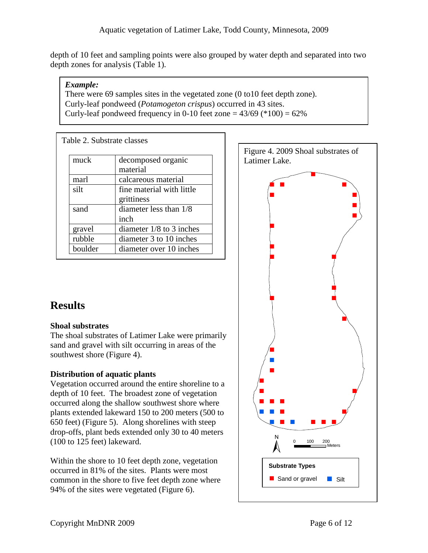depth of 10 feet and sampling points were also grouped by water depth and separated into two depth zones for analysis (Table 1).

#### *Example:*

There were 69 samples sites in the vegetated zone (0 to10 feet depth zone). Curly-leaf pondweed (*Potamogeton crispus*) occurred in 43 sites. Curly-leaf pondweed frequency in 0-10 feet zone  $=$  43/69 (\*100)  $=$  62%

| Table 2. Substrate classes |                            |
|----------------------------|----------------------------|
| muck                       | decomposed organic         |
|                            | material                   |
| marl                       | calcareous material        |
| silt                       | fine material with little  |
|                            | grittiness                 |
| sand                       | diameter less than 1/8     |
|                            | inch                       |
| gravel                     | diameter $1/8$ to 3 inches |
| rubble                     | diameter 3 to 10 inches    |
| boulder                    | diameter over 10 inches    |

### **Results**

#### **Shoal substrates**

The shoal substrates of Latimer Lake were primarily sand and gravel with silt occurring in areas of the southwest shore (Figure 4).

### **Distribution of aquatic plants**

Vegetation occurred around the entire shoreline to a depth of 10 feet. The broadest zone of vegetation occurred along the shallow southwest shore where plants extended lakeward 150 to 200 meters (500 to 650 feet) (Figure 5). Along shorelines with steep drop-offs, plant beds extended only 30 to 40 meters (100 to 125 feet) lakeward.

Within the shore to 10 feet depth zone, vegetation occurred in 81% of the sites. Plants were most common in the shore to five feet depth zone where 94% of the sites were vegetated (Figure 6).

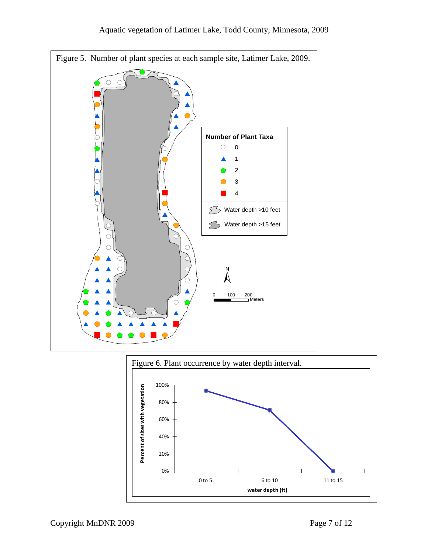



Copyright MnDNR 2009 Page 7 of 12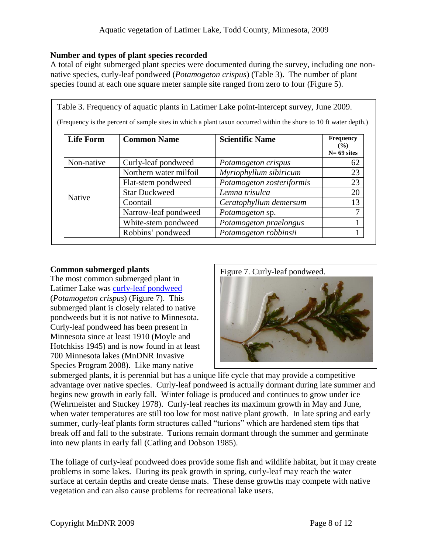#### **Number and types of plant species recorded**

A total of eight submerged plant species were documented during the survey, including one nonnative species, curly-leaf pondweed (*Potamogeton crispus*) (Table 3). The number of plant species found at each one square meter sample site ranged from zero to four (Figure 5).

|                  |                        | Table 3. Frequency of aquatic plants in Latimer Lake point-intercept survey, June 2009.<br>(Frequency is the percent of sample sites in which a plant taxon occurred within the shore to 10 ft water depth.) |                                              |
|------------------|------------------------|--------------------------------------------------------------------------------------------------------------------------------------------------------------------------------------------------------------|----------------------------------------------|
| <b>Life Form</b> | <b>Common Name</b>     | <b>Scientific Name</b>                                                                                                                                                                                       | <b>Frequency</b><br>$($ %)<br>$N = 69$ sites |
| Non-native       | Curly-leaf pondweed    | Potamogeton crispus                                                                                                                                                                                          | 62                                           |
| Native           | Northern water milfoil | Myriophyllum sibiricum                                                                                                                                                                                       | 23                                           |
|                  | Flat-stem pondweed     | Potamogeton zosteriformis                                                                                                                                                                                    | 23                                           |
|                  | <b>Star Duckweed</b>   | Lemna trisulca                                                                                                                                                                                               | 20                                           |
|                  | Coontail               | Ceratophyllum demersum                                                                                                                                                                                       | 13                                           |
|                  | Narrow-leaf pondweed   | <i>Potamogeton</i> sp.                                                                                                                                                                                       | 7                                            |
|                  | White-stem pondweed    | Potamogeton praelongus                                                                                                                                                                                       |                                              |
|                  | Robbins' pondweed      | Potamogeton robbinsii                                                                                                                                                                                        |                                              |

#### **Common submerged plants**

The most common submerged plant in Latimer Lake was [curly-leaf pondweed](http://www.dnr.state.mn.us/aquatic_plants/submerged_plants/curlyleaf_pondweed.html) (*Potamogeton crispus*) (Figure 7). This submerged plant is closely related to native pondweeds but it is not native to Minnesota. Curly-leaf pondweed has been present in Minnesota since at least 1910 (Moyle and Hotchkiss 1945) and is now found in at least 700 Minnesota lakes (MnDNR Invasive Species Program 2008). Like many native



submerged plants, it is perennial but has a unique life cycle that may provide a competitive advantage over native species. Curly-leaf pondweed is actually dormant during late summer and begins new growth in early fall. Winter foliage is produced and continues to grow under ice (Wehrmeister and Stuckey 1978). Curly-leaf reaches its maximum growth in May and June, when water temperatures are still too low for most native plant growth. In late spring and early summer, curly-leaf plants form structures called "turions" which are hardened stem tips that break off and fall to the substrate. Turions remain dormant through the summer and germinate into new plants in early fall (Catling and Dobson 1985).

The foliage of curly-leaf pondweed does provide some fish and wildlife habitat, but it may create problems in some lakes. During its peak growth in spring, curly-leaf may reach the water surface at certain depths and create dense mats. These dense growths may compete with native vegetation and can also cause problems for recreational lake users.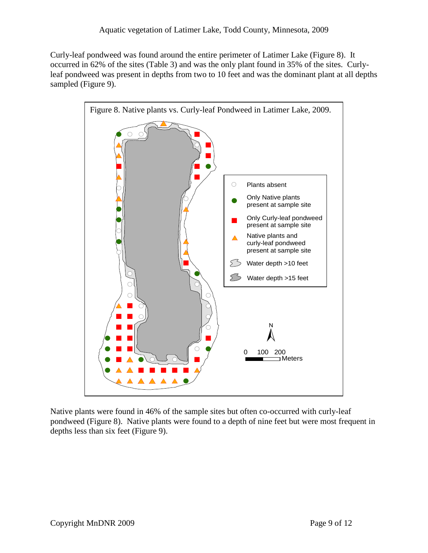Curly-leaf pondweed was found around the entire perimeter of Latimer Lake (Figure 8). It occurred in 62% of the sites (Table 3) and was the only plant found in 35% of the sites. Curlyleaf pondweed was present in depths from two to 10 feet and was the dominant plant at all depths sampled (Figure 9).



Native plants were found in 46% of the sample sites but often co-occurred with curly-leaf pondweed (Figure 8). Native plants were found to a depth of nine feet but were most frequent in depths less than six feet (Figure 9).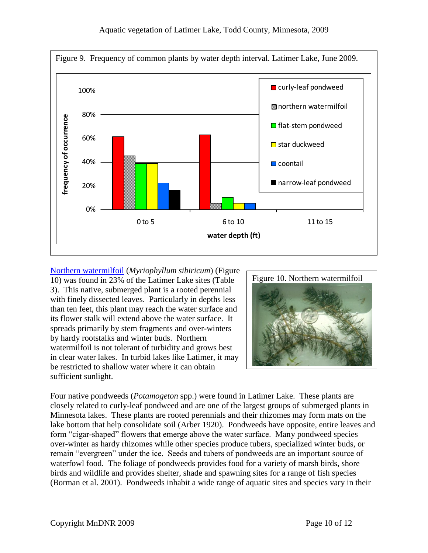

[Northern watermilfoil](http://www.dnr.state.mn.us/aquatic_plants/submerged_plants/northern_watermilfoil.html) (*Myriophyllum sibiricum*) (Figure 10) was found in 23% of the Latimer Lake sites (Table 3). This native, submerged plant is a rooted perennial with finely dissected leaves. Particularly in depths less than ten feet, this plant may reach the water surface and its flower stalk will extend above the water surface. It spreads primarily by stem fragments and over-winters by hardy rootstalks and winter buds. Northern watermilfoil is not tolerant of turbidity and grows best in clear water lakes. In turbid lakes like Latimer, it may be restricted to shallow water where it can obtain sufficient sunlight.



Four native pondweeds (*Potamogeton* spp.) were found in Latimer Lake. These plants are closely related to curly-leaf pondweed and are one of the largest groups of submerged plants in Minnesota lakes. These plants are rooted perennials and their rhizomes may form mats on the lake bottom that help consolidate soil (Arber 1920). Pondweeds have opposite, entire leaves and form "cigar-shaped" flowers that emerge above the water surface. Many pondweed species over-winter as hardy rhizomes while other species produce tubers, specialized winter buds, or remain "evergreen" under the ice. Seeds and tubers of pondweeds are an important source of waterfowl food. The foliage of pondweeds provides food for a variety of marsh birds, shore birds and wildlife and provides shelter, shade and spawning sites for a range of fish species (Borman et al. 2001). Pondweeds inhabit a wide range of aquatic sites and species vary in their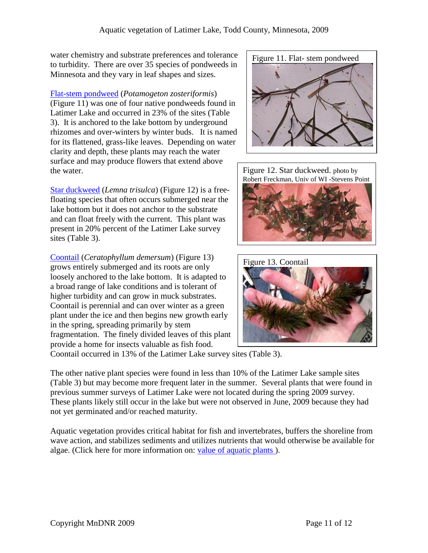water chemistry and substrate preferences and tolerance to turbidity. There are over 35 species of pondweeds in Minnesota and they vary in leaf shapes and sizes.

[Flat-stem pondweed](http://www.dnr.state.mn.us/aquatic_plants/submerged_plants/narrowleaf_pondweeds.html) (*Potamogeton zosteriformis*) (Figure 11) was one of four native pondweeds found in Latimer Lake and occurred in 23% of the sites (Table 3). It is anchored to the lake bottom by underground rhizomes and over-winters by winter buds. It is named for its flattened, grass-like leaves. Depending on water clarity and depth, these plants may reach the water surface and may produce flowers that extend above the water.

[Star duckweed](http://www.dnr.state.mn.us/aquatic_plants/floatingleaf_plants/duckweeds.html) (*Lemna trisulca*) (Figure 12) is a freefloating species that often occurs submerged near the lake bottom but it does not anchor to the substrate and can float freely with the current. This plant was present in 20% percent of the Latimer Lake survey sites (Table 3).

[Coontail](http://www.dnr.state.mn.us/aquatic_plants/submerged_plants/coontail.html) (*Ceratophyllum demersum*) (Figure 13) grows entirely submerged and its roots are only loosely anchored to the lake bottom. It is adapted to a broad range of lake conditions and is tolerant of higher turbidity and can grow in muck substrates. Coontail is perennial and can over winter as a green plant under the ice and then begins new growth early in the spring, spreading primarily by stem fragmentation. The finely divided leaves of this plant provide a home for insects valuable as fish food.







Coontail occurred in 13% of the Latimer Lake survey sites (Table 3).

The other native plant species were found in less than 10% of the Latimer Lake sample sites (Table 3) but may become more frequent later in the summer. Several plants that were found in previous summer surveys of Latimer Lake were not located during the spring 2009 survey. These plants likely still occur in the lake but were not observed in June, 2009 because they had not yet germinated and/or reached maturity.

Aquatic vegetation provides critical habitat for fish and invertebrates, buffers the shoreline from wave action, and stabilizes sediments and utilizes nutrients that would otherwise be available for algae. (Click here for more information on: [value of aquatic plants \)](http://www.dnr.state.mn.us/shorelandmgmt/apg/value.html).